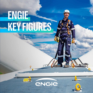# **ENGIE KEY FIGURES**

 $\mathsf{P}$ 

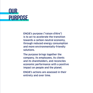

ENGIE's purpose ("raison d'être") is to act to accelerate the transition towards a carbon-neutral economy, through reduced energy consumption and more environmentally-friendly solutions.

The purpose brings together the company, its employees, its clients and its shareholders, and reconciles economic performance with a positive impact on people and the planet.

ENGIE's actions are assessed in their entirety and over time.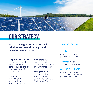

## **OUR STRATEGY**

We are engaged for an affordable, reliable, and sustainable growth, based on 4 main axes.

#### **Simplify and refocus**

our organization by focusing on our 4 core activities and by refocusing on thirty countries by 2023.

#### **Adapt** our

organization with a strengthened industrial approach.

#### **Accelerate** our

investments in renewables and local energy infrastructures.

#### **Strengthen** our commitment for energy transition to achieve Net Zero Carbon by 2045.

#### **TARGETS FOR 2030**

### 58%

of renewable electricity production capacities

#### **A balance** of women and men in management

### 45 Mt CO<sub>2</sub>eq

of emissions avoided through the use of ENGIE products and services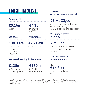# **ENGIE IN 2021**

### Group profile

€6.1bn EBIT\*

### €4.3bn in growth CAPEX

#### We have **We produce**

### 100.3 GW

of installed electricity production capacity

426 TWh of electricity

### We reduce our environmental impact

## 26 Mt  $CO$ <sub>,</sub>eq

of emissions avoided by our customers through the use of ENGIE products and services\*\*

### We support access to energy

## 7 million

beneficiaries with access to sustainable energy since 2018

### We are committed to green funding

### $£14.3$ hn Over

in green bonds issued since 2014

*\* "EBIT" : earnings before interest and taxes. €0,4bn Energy Solutions, €1,2bn Renewables, €2,3bn Networks, €1,2bn Thermal generation, €0,2bn Energy supply, €0,9bn other activities. \*\* without EQUANS.*

We have investing in the future

€138m in Research & Development

### €180m

in ENGIE New Ventures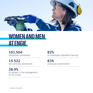

# **WOMEN AND MEN AT ENGIE**

101,504 employees worldwide\*

15 522 recruitments worldwide\*

28.9% of women in the management of the Group

82% of employees attended training\*

83% employee commitment

*\* without EQUANS*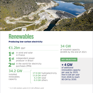

## **Renewables**

### Producing low-carbon electricity

## €1.2bn EBIT

**1st** in wind and solar in France

- 1st independent power producer in Brazil
- 
- 2nd in the world for electricity<br>purchases (PPA)

### 34 GW

of installed capacity @100% by the end of 2021

### **KEY OBJECTIVES**

**+ 4 GW**  of additional renewables capacity per year by 2025, then 6 GW per year from 2026 to reach 80 GW by 2030.

### 34.2 GW

installed renewables capacity

17.9 GW hydroelectricity  $11.8$  GW wind\* 4.2 GW solar 0.3 GW others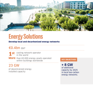

# **Energy Solutions**

### Develop local and decarbonized energy networks

### €0.4bn EBIT

1 st cooling network operator<br>in the world

**More** than 65.000 energy assets operated uldil 65.000 energy assets operated<br>within buildings worldwide

### 23 GW

of decentralized energy installed capacity

**+ 8 GW**  of additional capacity by 2025 in local low-carbon energy networks.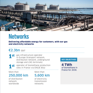

## **Networks**

Delivering affordable energy for customers, with our gas and electricity networks

### €2.3bn EBIT

- **1st** gas infrastructure operator in Europe (transport network, distribution network, underground storage and LNG terminals)
	- st operator of biomethane production sites in France via ENGIE Bioz

More than 250,000 km

of distribution network worldwide

More than 5,600 km

of electricity transmission networks

### **KEY OBJECTIVES**

**4 TWh**  of biomethane in France for 2030.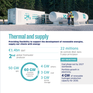

# **Thermal and supply**

Providing flexibility to support the development of renewable energies, supply our clients with energy





## 22 millions €1.4bn EBIT

de contrats BtoC dans 5 pays principaux

### **KEY OBJECTIVES**

Coal phase-out by 2027 worldwide.

Portfolio growth in electricity.

**4 GW** of renewable hydrogen production capacity for 2030.